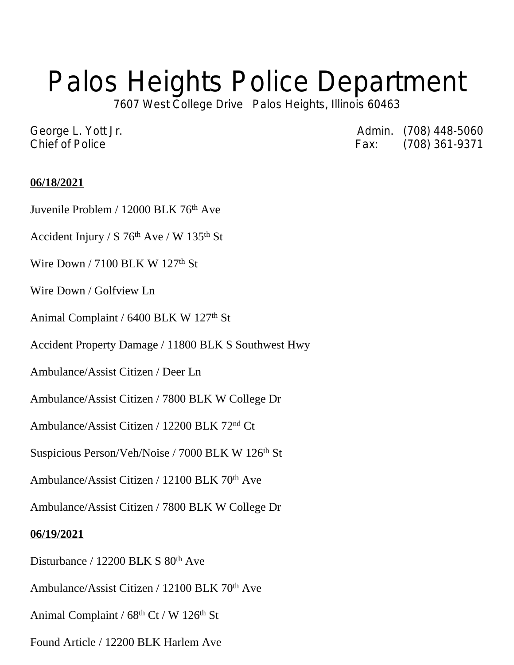## Palos Heights Police Department

7607 West College Drive Palos Heights, Illinois 60463

George L. Yott Jr. **Admin.** (708) 448-5060 Chief of Police **Fax:** (708) 361-9371

## **06/18/2021**

Juvenile Problem / 12000 BLK 76th Ave

Accident Injury / S 76<sup>th</sup> Ave / W 135<sup>th</sup> St

Wire Down / 7100 BLK W 127<sup>th</sup> St

Wire Down / Golfview Ln

Animal Complaint / 6400 BLK W 127<sup>th</sup> St

Accident Property Damage / 11800 BLK S Southwest Hwy

Ambulance/Assist Citizen / Deer Ln

Ambulance/Assist Citizen / 7800 BLK W College Dr

Ambulance/Assist Citizen / 12200 BLK 72nd Ct

Suspicious Person/Veh/Noise / 7000 BLK W 126<sup>th</sup> St

Ambulance/Assist Citizen / 12100 BLK 70th Ave

Ambulance/Assist Citizen / 7800 BLK W College Dr

## **06/19/2021**

Disturbance / 12200 BLK S 80th Ave

Ambulance/Assist Citizen / 12100 BLK 70<sup>th</sup> Ave

Animal Complaint /  $68<sup>th</sup>$  Ct / W 126<sup>th</sup> St

Found Article / 12200 BLK Harlem Ave